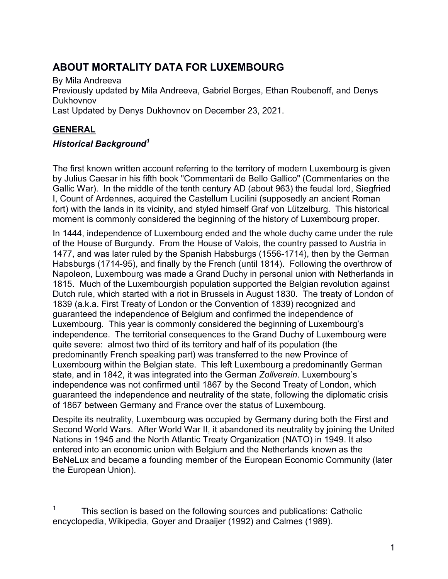# ABOUT MORTALITY DATA FOR LUXEMBOURG

By Mila Andreeva Previously updated by Mila Andreeva, Gabriel Borges, Ethan Roubenoff, and Denys Dukhovnov Last Updated by Denys Dukhovnov on December 23, 2021.

## **GENERAL**

### Historical Background<sup>1</sup>

The first known written account referring to the territory of modern Luxembourg is given by Julius Caesar in his fifth book "Commentarii de Bello Gallico" (Commentaries on the Gallic War). In the middle of the tenth century AD (about 963) the feudal lord, Siegfried I, Count of Ardennes, acquired the Castellum Lucilini (supposedly an ancient Roman fort) with the lands in its vicinity, and styled himself Graf von Lützelburg. This historical moment is commonly considered the beginning of the history of Luxembourg proper.

In 1444, independence of Luxembourg ended and the whole duchy came under the rule of the House of Burgundy. From the House of Valois, the country passed to Austria in 1477, and was later ruled by the Spanish Habsburgs (1556-1714), then by the German Habsburgs (1714-95), and finally by the French (until 1814). Following the overthrow of Napoleon, Luxembourg was made a Grand Duchy in personal union with Netherlands in 1815. Much of the Luxembourgish population supported the Belgian revolution against Dutch rule, which started with a riot in Brussels in August 1830. The treaty of London of 1839 (a.k.a. First Treaty of London or the Convention of 1839) recognized and guaranteed the independence of Belgium and confirmed the independence of Luxembourg. This year is commonly considered the beginning of Luxembourg's independence. The territorial consequences to the Grand Duchy of Luxembourg were quite severe: almost two third of its territory and half of its population (the predominantly French speaking part) was transferred to the new Province of Luxembourg within the Belgian state. This left Luxembourg a predominantly German state, and in 1842, it was integrated into the German Zollverein. Luxembourg's independence was not confirmed until 1867 by the Second Treaty of London, which guaranteed the independence and neutrality of the state, following the diplomatic crisis of 1867 between Germany and France over the status of Luxembourg.

Despite its neutrality, Luxembourg was occupied by Germany during both the First and Second World Wars. After World War II, it abandoned its neutrality by joining the United Nations in 1945 and the North Atlantic Treaty Organization (NATO) in 1949. It also entered into an economic union with Belgium and the Netherlands known as the BeNeLux and became a founding member of the European Economic Community (later the European Union).

 $\overline{a}$  $1$  This section is based on the following sources and publications: Catholic encyclopedia, Wikipedia, Goyer and Draaijer (1992) and Calmes (1989).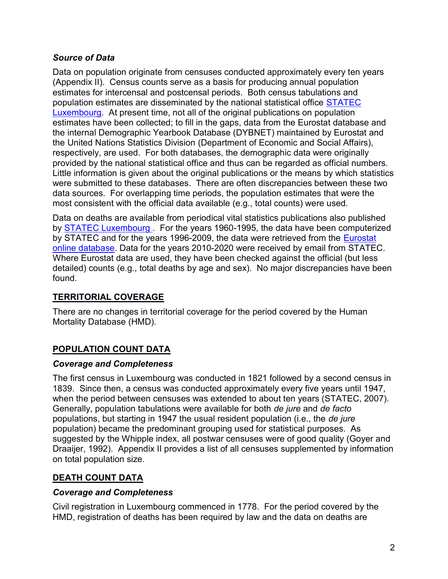#### Source of Data

Data on population originate from censuses conducted approximately every ten years (Appendix II). Census counts serve as a basis for producing annual population estimates for intercensal and postcensal periods. Both census tabulations and population estimates are disseminated by the national statistical office STATEC Luxembourg. At present time, not all of the original publications on population estimates have been collected; to fill in the gaps, data from the Eurostat database and the internal Demographic Yearbook Database (DYBNET) maintained by Eurostat and the United Nations Statistics Division (Department of Economic and Social Affairs), respectively, are used. For both databases, the demographic data were originally provided by the national statistical office and thus can be regarded as official numbers. Little information is given about the original publications or the means by which statistics were submitted to these databases. There are often discrepancies between these two data sources. For overlapping time periods, the population estimates that were the most consistent with the official data available (e.g., total counts) were used.

Data on deaths are available from periodical vital statistics publications also published by **STATEC Luxembourg**. For the years 1960-1995, the data have been computerized by STATEC and for the years 1996-2009, the data were retrieved from the Eurostat online database. Data for the years 2010-2020 were received by email from STATEC. Where Eurostat data are used, they have been checked against the official (but less detailed) counts (e.g., total deaths by age and sex). No major discrepancies have been found.

### TERRITORIAL COVERAGE

There are no changes in territorial coverage for the period covered by the Human Mortality Database (HMD).

### POPULATION COUNT DATA

#### Coverage and Completeness

The first census in Luxembourg was conducted in 1821 followed by a second census in 1839. Since then, a census was conducted approximately every five years until 1947, when the period between censuses was extended to about ten years (STATEC, 2007). Generally, population tabulations were available for both de jure and de facto populations, but starting in 1947 the usual resident population (i.e., the de jure population) became the predominant grouping used for statistical purposes. As suggested by the Whipple index, all postwar censuses were of good quality (Goyer and Draaijer, 1992). Appendix II provides a list of all censuses supplemented by information on total population size.

### DEATH COUNT DATA

#### Coverage and Completeness

Civil registration in Luxembourg commenced in 1778. For the period covered by the HMD, registration of deaths has been required by law and the data on deaths are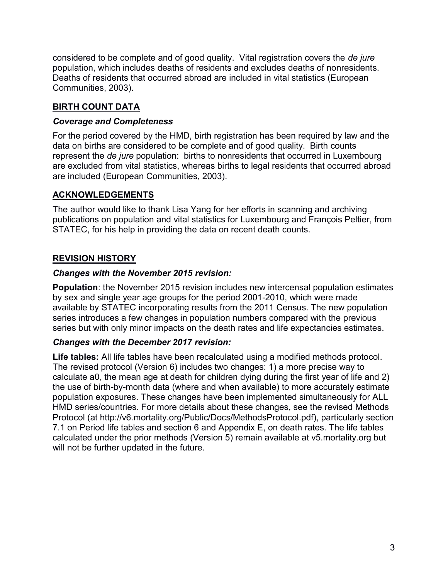considered to be complete and of good quality. Vital registration covers the de jure population, which includes deaths of residents and excludes deaths of nonresidents. Deaths of residents that occurred abroad are included in vital statistics (European Communities, 2003).

## BIRTH COUNT DATA

#### Coverage and Completeness

For the period covered by the HMD, birth registration has been required by law and the data on births are considered to be complete and of good quality. Birth counts represent the de jure population: births to nonresidents that occurred in Luxembourg are excluded from vital statistics, whereas births to legal residents that occurred abroad are included (European Communities, 2003).

### ACKNOWLEDGEMENTS

The author would like to thank Lisa Yang for her efforts in scanning and archiving publications on population and vital statistics for Luxembourg and François Peltier, from STATEC, for his help in providing the data on recent death counts.

## REVISION HISTORY

### Changes with the November 2015 revision:

Population: the November 2015 revision includes new intercensal population estimates by sex and single year age groups for the period 2001-2010, which were made available by STATEC incorporating results from the 2011 Census. The new population series introduces a few changes in population numbers compared with the previous series but with only minor impacts on the death rates and life expectancies estimates.

#### Changes with the December 2017 revision:

Life tables: All life tables have been recalculated using a modified methods protocol. The revised protocol (Version 6) includes two changes: 1) a more precise way to calculate a0, the mean age at death for children dying during the first year of life and 2) the use of birth-by-month data (where and when available) to more accurately estimate population exposures. These changes have been implemented simultaneously for ALL HMD series/countries. For more details about these changes, see the revised Methods Protocol (at http://v6.mortality.org/Public/Docs/MethodsProtocol.pdf), particularly section 7.1 on Period life tables and section 6 and Appendix E, on death rates. The life tables calculated under the prior methods (Version 5) remain available at v5.mortality.org but will not be further updated in the future.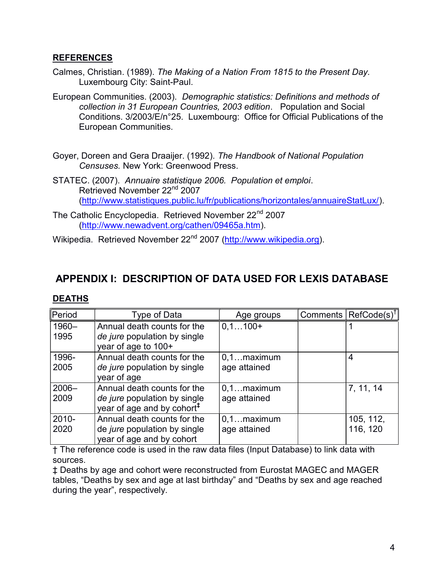#### REFERENCES

- Calmes, Christian. (1989). The Making of a Nation From 1815 to the Present Day. Luxembourg City: Saint-Paul.
- European Communities. (2003). Demographic statistics: Definitions and methods of collection in 31 European Countries, 2003 edition. Population and Social Conditions. 3/2003/E/n°25. Luxembourg: Office for Official Publications of the European Communities.
- Goyer, Doreen and Gera Draaijer. (1992). The Handbook of National Population Censuses. New York: Greenwood Press.
- STATEC. (2007). Annuaire statistique 2006. Population et emploi. Retrieved November 22nd 2007 (http://www.statistiques.public.lu/fr/publications/horizontales/annuaireStatLux/).
- The Catholic Encyclopedia. Retrieved November 22<sup>nd</sup> 2007 (http://www.newadvent.org/cathen/09465a.htm).

Wikipedia. Retrieved November 22<sup>nd</sup> 2007 (http://www.wikipedia.org).

# APPENDIX I: DESCRIPTION OF DATA USED FOR LEXIS DATABASE

#### DEATHS

| Period   | Type of Data                           | Age groups    | Comments $\ \text{RefCode}(s)^{\dagger}\ $ |
|----------|----------------------------------------|---------------|--------------------------------------------|
| 1960-    | Annual death counts for the            | $0,1100+$     |                                            |
| 1995     | de jure population by single           |               |                                            |
|          | year of age to 100+                    |               |                                            |
| 1996-    | Annual death counts for the            | $0,1$ maximum | 4                                          |
| 2005     | de jure population by single           | age attained  |                                            |
|          | year of age                            |               |                                            |
| $2006 -$ | Annual death counts for the            | $0,1$ maximum | 7, 11, 14                                  |
| 2009     | de jure population by single           | age attained  |                                            |
|          | year of age and by cohort <sup>#</sup> |               |                                            |
| 2010-    | Annual death counts for the            | $0,1$ maximum | 105, 112,                                  |
| 2020     | de jure population by single           | age attained  | 116, 120                                   |
|          | year of age and by cohort              |               |                                            |

† The reference code is used in the raw data files (Input Database) to link data with sources.

‡ Deaths by age and cohort were reconstructed from Eurostat MAGEC and MAGER tables, "Deaths by sex and age at last birthday" and "Deaths by sex and age reached during the year", respectively.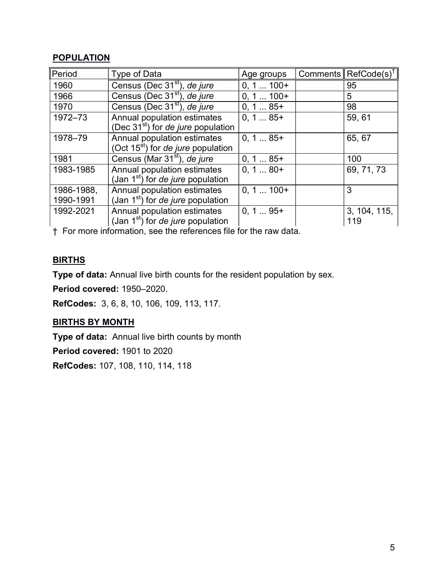### **POPULATION**

| Period     | Type of Data                                   | Age groups  | Comments $\ \text{RefCode}(s)^{\dagger}\ $ |
|------------|------------------------------------------------|-------------|--------------------------------------------|
| 1960       | Census (Dec 31 <sup>st</sup> ), de jure        | $0, 1 100+$ | 95                                         |
| 1966       | Census (Dec 31 <sup>st</sup> ), de jure        | $0, 1 100+$ | 5                                          |
| 1970       | Census (Dec 31 <sup>st</sup> ), de jure        | $0, 185+$   | 98                                         |
| 1972-73    | Annual population estimates                    | $0, 185+$   | 59,61                                      |
|            | (Dec $31st$ ) for <i>de jure</i> population    |             |                                            |
| 1978-79    | Annual population estimates                    | $0, 185+$   | 65, 67                                     |
|            | (Oct $15^{st}$ ) for <i>de jure</i> population |             |                                            |
| 1981       | Census (Mar 31 <sup>st</sup> ), de jure        | $0, 185+$   | 100                                        |
| 1983-1985  | Annual population estimates                    | $0, 180+$   | 69, 71, 73                                 |
|            | (Jan $1st$ ) for <i>de jure</i> population     |             |                                            |
| 1986-1988, | Annual population estimates                    | $0, 1100+$  | 3                                          |
| 1990-1991  | (Jan $1st$ ) for <i>de jure</i> population     |             |                                            |
| 1992-2021  | Annual population estimates                    | $0, 195+$   | 3, 104, 115,                               |
|            | (Jan $1st$ ) for <i>de jure</i> population     |             | 119                                        |

† For more information, see the references file for the raw data.

### **BIRTHS**

Type of data: Annual live birth counts for the resident population by sex.

Period covered: 1950–2020.

RefCodes: 3, 6, 8, 10, 106, 109, 113, 117.

#### BIRTHS BY MONTH

Type of data: Annual live birth counts by month

Period covered: 1901 to 2020

RefCodes: 107, 108, 110, 114, 118